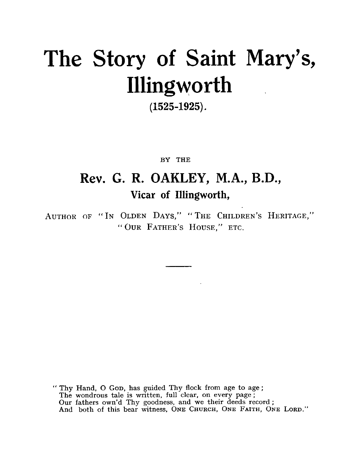# The Story of Saint Mary's, Illingworth

### (1525-1925).

### BY THE

# **Rev. G. R. OAKLEY, M.A., B.D.,** Vicar of Illingworth,

AUTHOR OF "IN OLDEN DAYS," "THE CHILDREN'S HERITAGE," " OUR FATHER'S HOUSE," ETC.

" Thy Hand, 0 GOD, has guided Thy flock from age to age ; The wondrous tale is written, full clear, on every page ; Our fathers own'd Thy goodness, and we their deeds record ; And both of this bear witness, ONE CHURCH, ONE FAITH, ONE LORD."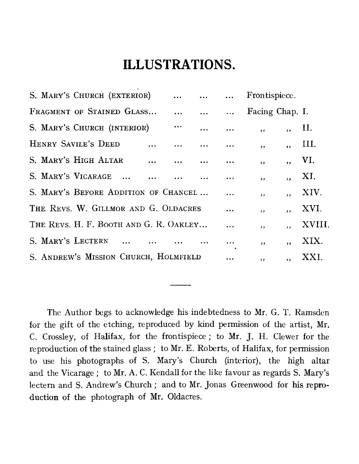# **ILLUSTRATIONS.**

| <b>ILLUSTRATIONS.</b>                  |  |                          |         |        |
|----------------------------------------|--|--------------------------|---------|--------|
| S. MARY'S CHURCH (EXTERIOR)            |  | Frontispiece.            |         |        |
| FRAGMENT OF STAINED GLASS              |  | Facing Chap. I.          |         |        |
| S. MARY'S CHURCH (INTERIOR)            |  | $\overline{\phantom{a}}$ | $\cdot$ | H.     |
| HENRY SAVILE'S DEED                    |  | $, \,$                   | ,,      | III.   |
| S. MARY'S HIGH ALTAR                   |  | ,,                       | ,,      | VI.    |
| S. MARY'S VICARAGE                     |  | $, \,$                   | ,,      | XI.    |
| S. MARY'S BEFORE ADDITION OF CHANCEL   |  | $, \,$                   | ,,      | XIV.   |
| THE REVS. W. GILLMOR AND G. OLDACRES   |  | , ,                      | ,,      | XVI.   |
| THE REVS. H. F. BOOTH AND G. R. OAKLEY |  | $, \,$                   | $, \,$  | XVIII. |
| S. MARY'S LECTERN                      |  | , ,                      | ,,      | XIX.   |
| S. ANDREW'S MISSION CHURCH, HOLMFIELD  |  | ,,                       | ,,      | XXI.   |
|                                        |  |                          |         |        |
|                                        |  |                          |         |        |

The Author begs to acknowledge his indebtedness to Mr. G. T. Ramsden for the gift of the etching, reproduced by kind permission of the artist, Mr. C. Crossley, of Halifax, for the frontispiece ; to Mr. J. H. Clewer for the reproduction of the stained glass ; to Mr. E. Roberts, of Halifax, for permission to use his photographs of S. Mary's Church (interior), the high altar and the Vicarage ; to Mr. A. C. Kendall for the like favour as regards S. Mary's lectern and S. Andrew's Church ; and to Mr. Jonas Greenwood for his reproduction of the photograph of Mr. Oldacres.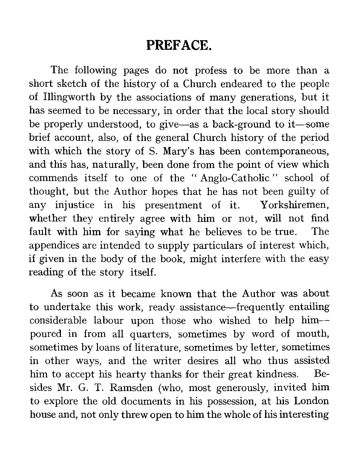## **PREFACE.**

The following pages do not profess to be more than a short sketch of the history of a Church endeared to the people of Illingworth by the associations of many generations, but it has seemed to be necessary, in order that the local story should be properly understood, to give—as a back-ground to it—some brief account, also, of the general Church history of the period with which the story of S. Mary's has been contemporaneous, and this has, naturally, been done from the point of view which commends itself to one of the " Anglo-Catholic " school of thought, but the Author hopes that he has not been guilty of any injustice in his presentment of it. Yorkshiremen, whether they entirely agree with him or not, will not find fault with him for saying what he believes to be true. The appendices are intended to supply particulars of interest which, if given in the body of the book, might interfere with the easy reading of the story itself.

As soon as it became known that the Author was about to undertake this work, ready assistance—frequently entailing considerable labour upon those who wished to help him poured in from all quarters, sometimes by word of mouth, sometimes by loans of literature, sometimes by letter, sometimes in other ways, and the writer desires all who thus assisted him to accept his hearty thanks for their great kindness. Besides Mr. G. T. Ramsden (who, most generously, invited him to explore the old documents in his possession, at his London house and, not only threw open to him the whole of his interesting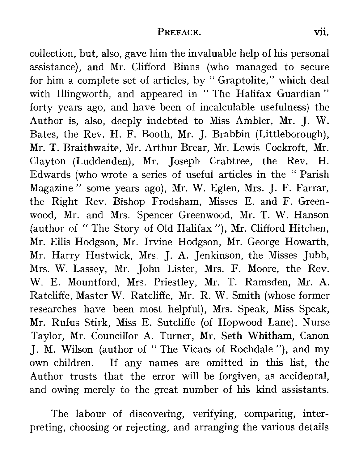PREFACE. vii.<br>
m the invaluable help of his personal<br>
rd. Binns. (who. managed. to secure collection, but, also, gave him the invaluable help of his personal assistance), and Mr. Clifford Binns (who managed to secure for him a complete set of articles, by " Graptolite," which deal with Illingworth, and appeared in "The Halifax Guardian" forty years ago, and have been of incalculable usefulness) the Author is, also, deeply indebted to Miss Ambler, Mr. J. W. Bates, the Rev. H. F. Booth, Mr. J. Brabbin (Littleborough), Mr. T. Braithwaite, Mr. Arthur Brear, Mr. Lewis Cockroft, Mr. Clayton (Luddenden), Mr. Joseph Crabtree, the Rev. H. Edwards (who wrote a series of useful articles in the " Parish Magazine " some years ago), Mr. W. Eglen, Mrs. J. F. Farrar, the Right Rev. Bishop Frodsham, Misses E. and F. Greenwood, Mr. and Mrs. Spencer Greenwood, Mr. T. W. Hanson (author of " The Story of Old Halifax "), Mr. Clifford Hitchen, Mr. Ellis Hodgson, Mr. Irvine Hodgson, Mr. George Howarth, Mr. Harry Hustwick, Mrs. J. A. Jenkinson, the Misses Jubb, Mrs. W. Lassey, Mr. John Lister, Mrs. F. Moore, the Rev. W. E. Mountford, Mrs. Priestley, Mr. T. Ramsden, Mr. A. Ratcliffe, Master W. Ratcliffe, Mr. R. W. Smith (whose former researches have been most helpful), Mrs. Speak, Miss Speak, Mr. Rufus Stirk, Miss E. Sutcliffe (of Hopwood Lane), Nurse Taylor, Mr. Councillor A. Turner, Mr. Seth Whitham, Canon J. M. Wilson (author of " The Vicars of Rochdale "), and my own children. If any names are omitted in this list, the Author trusts that the error will be forgiven, as accidental, and owing merely to the great number of his kind assistants.

The labour of discovering, verifying, comparing, interpreting, choosing or rejecting, and arranging the various details